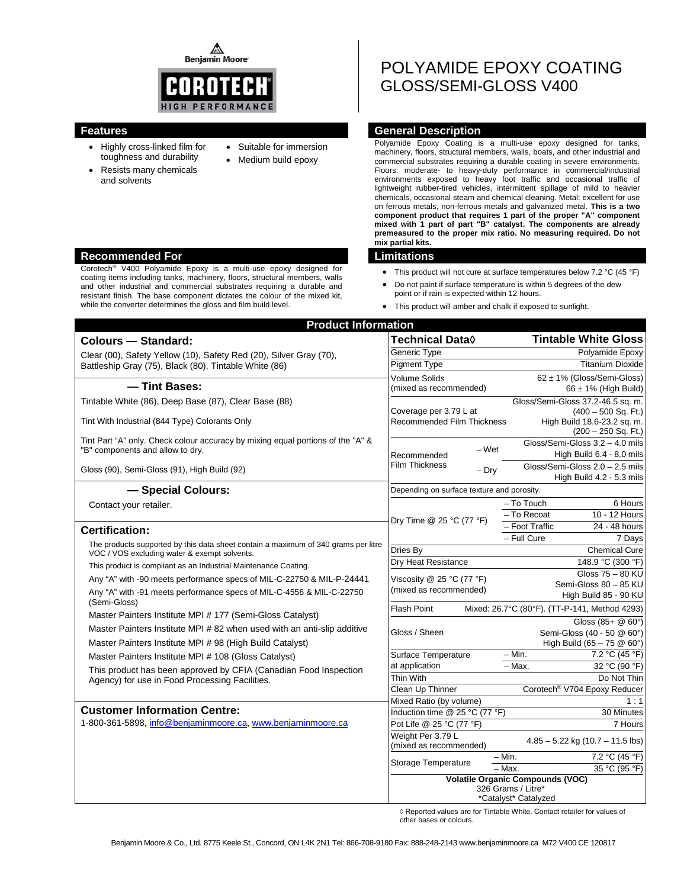⚠ **Benjamin Moore** 



- Highly cross-linked film for toughness and durability
- Resists many chemicals and solvents
- Suitable for immersion
- Medium build epoxy

POLYAMIDE EPOXY COATING GLOSS/SEMI-GLOSS V400

# **Features General Description**

Polyamide Epoxy Coating is a multi-use epoxy designed for tanks, machinery, floors, structural members, walls, boats, and other industrial and commercial substrates requiring a durable coating in severe environments. Floors: moderate- to heavy-duty performance in commercial/industrial environments exposed to heavy foot traffic and occasional traffic of lightweight rubber-tired vehicles, intermittent spillage of mild to heavier chemicals, occasional steam and chemical cleaning. Metal: excellent for use on ferrous metals, non-ferrous metals and galvanized metal. **This is a two component product that requires 1 part of the proper "A" component mixed with 1 part of part "B" catalyst. The components are already premeasured to the proper mix ratio. No measuring required. Do not mix partial kits.**

- This product will not cure at surface temperatures below 7.2 °C (45 °F)
- Do not paint if surface temperature is within 5 degrees of the dew point or if rain is expected within 12 hours.
- This product will amber and chalk if exposed to sunlight.

| <b>Product Information</b>                                                         |                                               |                                                      |  |  |
|------------------------------------------------------------------------------------|-----------------------------------------------|------------------------------------------------------|--|--|
| Colours - Standard:                                                                | <b>Technical Data</b> ♦                       | <b>Tintable White Gloss</b>                          |  |  |
| Clear (00), Safety Yellow (10), Safety Red (20), Silver Gray (70),                 | Generic Type                                  | Polyamide Epoxy                                      |  |  |
| Battleship Gray (75), Black (80), Tintable White (86)                              | <b>Pigment Type</b>                           | <b>Titanium Dioxide</b>                              |  |  |
|                                                                                    | <b>Volume Solids</b>                          | 62 ± 1% (Gloss/Semi-Gloss)                           |  |  |
| - Tint Bases:                                                                      | (mixed as recommended)                        | $66 \pm 1\%$ (High Build)                            |  |  |
| Tintable White (86), Deep Base (87), Clear Base (88)                               |                                               | Gloss/Semi-Gloss 37.2-46.5 sq. m.                    |  |  |
| Tint With Industrial (844 Type) Colorants Only                                     | Coverage per 3.79 L at                        | $(400 - 500$ Sq. Ft.)                                |  |  |
|                                                                                    | Recommended Film Thickness                    | High Build 18.6-23.2 sq. m.<br>$(200 - 250 Sq. Ft.)$ |  |  |
| Tint Part "A" only. Check colour accuracy by mixing equal portions of the "A" &    |                                               | Gloss/Semi-Gloss 3.2 - 4.0 mils                      |  |  |
| "B" components and allow to dry.                                                   | $-Wet$<br>Recommended                         | High Build 6.4 - 8.0 mils                            |  |  |
| Gloss (90), Semi-Gloss (91), High Build (92)                                       | <b>Film Thickness</b><br>$-$ Dry              | Gloss/Semi-Gloss 2.0 - 2.5 mils                      |  |  |
|                                                                                    |                                               | High Build 4.2 - 5.3 mils                            |  |  |
| - Special Colours:                                                                 | Depending on surface texture and porosity.    |                                                      |  |  |
| Contact your retailer.                                                             |                                               | - To Touch<br>6 Hours                                |  |  |
|                                                                                    | Dry Time @ 25 °C (77 °F)                      | 10 - 12 Hours<br>- To Recoat                         |  |  |
| <b>Certification:</b>                                                              |                                               | - Foot Traffic<br>24 - 48 hours                      |  |  |
| The products supported by this data sheet contain a maximum of 340 grams per litre |                                               | - Full Cure<br>7 Days                                |  |  |
| VOC / VOS excluding water & exempt solvents.                                       | Dries By                                      | <b>Chemical Cure</b>                                 |  |  |
| This product is compliant as an Industrial Maintenance Coating.                    | Dry Heat Resistance                           | 148.9 °C (300 °F)<br>Gloss 75 - 80 KU                |  |  |
| Any "A" with -90 meets performance specs of MIL-C-22750 & MIL-P-24441              | Viscosity @ 25 °C (77 °F)                     | Semi-Gloss 80 - 85 KU                                |  |  |
| Any "A" with -91 meets performance specs of MIL-C-4556 & MIL-C-22750               | (mixed as recommended)                        | High Build 85 - 90 KU                                |  |  |
| (Semi-Gloss)                                                                       | <b>Flash Point</b>                            | Mixed: 26.7°C (80°F). (TT-P-141, Method 4293)        |  |  |
| Master Painters Institute MPI # 177 (Semi-Gloss Catalyst)                          |                                               | Gloss (85+ @ 60°)                                    |  |  |
| Master Painters Institute MPI # 82 when used with an anti-slip additive            | Gloss / Sheen                                 | Semi-Gloss (40 - 50 @ 60°)                           |  |  |
| Master Painters Institute MPI #98 (High Build Catalyst)                            |                                               | High Build $(65 - 75 \& 60^{\circ})$                 |  |  |
| Master Painters Institute MPI # 108 (Gloss Catalyst)                               | Surface Temperature                           | – Min.<br>7.2 °C (45 °F)                             |  |  |
| This product has been approved by CFIA (Canadian Food Inspection                   | at application                                | 32 °C (90 °F)<br>- Max.                              |  |  |
| Agency) for use in Food Processing Facilities.                                     | Thin With                                     | Do Not Thin                                          |  |  |
|                                                                                    | Clean Up Thinner                              | Corotech <sup>®</sup> V704 Epoxy Reducer             |  |  |
| <b>Customer Information Centre:</b>                                                | Mixed Ratio (by volume)                       | 1 : 1                                                |  |  |
| 1-800-361-5898, info@benjaminmoore.ca, www.benjaminmoore.ca                        | Induction time @ 25 °C (77 °F)                | 30 Minutes                                           |  |  |
|                                                                                    | Pot Life @ 25 °C (77 °F)<br>Weight Per 3.79 L | 7 Hours                                              |  |  |
|                                                                                    | (mixed as recommended)                        | $4.85 - 5.22$ kg (10.7 - 11.5 lbs)                   |  |  |
|                                                                                    |                                               | 7.2 °C (45 °F)<br>$- Min.$                           |  |  |
|                                                                                    | Storage Temperature                           | $-$ Max.<br>35 °C (95 °F)                            |  |  |
|                                                                                    | <b>Volatile Organic Compounds (VOC)</b>       |                                                      |  |  |
|                                                                                    |                                               | 326 Grams / Litre*<br>*Catalyst* Catalyzed           |  |  |

◊ Reported values are for Tintable White. Contact retailer for values of other bases or colours.

#### **Recommended For Limitations**

Corotech® V400 Polyamide Epoxy is a multi-use epoxy designed for coating items including tanks, machinery, floors, structural members, walls and other industrial and commercial substrates requiring a durable and resistant finish. The base component dictates the colour of the mixed kit, while the converter determines the gloss and film build level.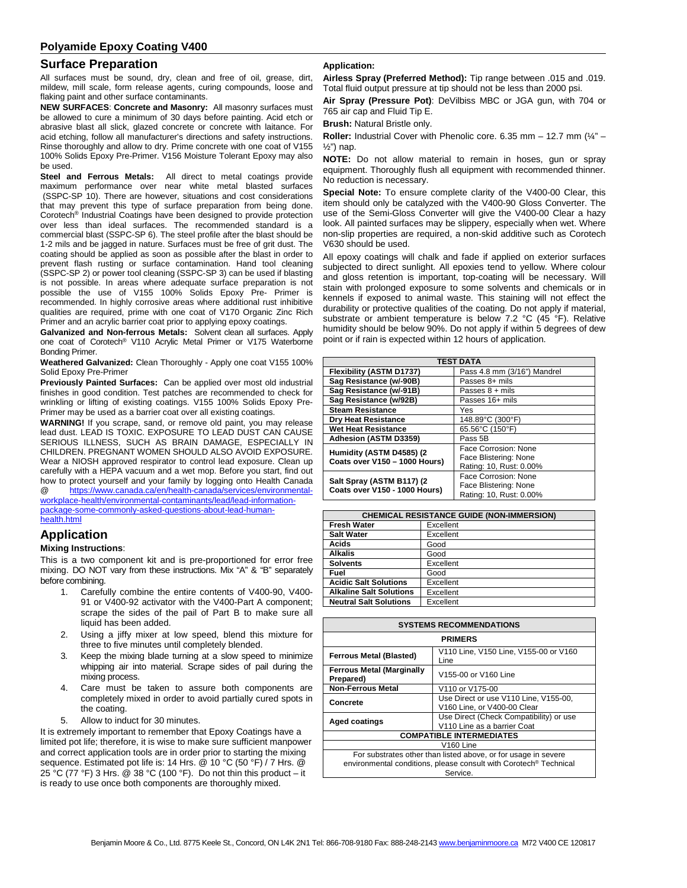### **Surface Preparation**

All surfaces must be sound, dry, clean and free of oil, grease, dirt, mildew, mill scale, form release agents, curing compounds, loose and flaking paint and other surface contaminants.

**NEW SURFACES**: **Concrete and Masonry:** All masonry surfaces must be allowed to cure a minimum of 30 days before painting. Acid etch or abrasive blast all slick, glazed concrete or concrete with laitance. For acid etching, follow all manufacturer's directions and safety instructions. Rinse thoroughly and allow to dry. Prime concrete with one coat of V155 100% Solids Epoxy Pre-Primer. V156 Moisture Tolerant Epoxy may also be used.

**Steel and Ferrous Metals:** All direct to metal coatings provide maximum performance over near white metal blasted surfaces (SSPC-SP 10). There are however, situations and cost considerations that may prevent this type of surface preparation from being done. Corotech® Industrial Coatings have been designed to provide protection over less than ideal surfaces. The recommended standard is a commercial blast (SSPC-SP 6). The steel profile after the blast should be 1-2 mils and be jagged in nature. Surfaces must be free of grit dust. The coating should be applied as soon as possible after the blast in order to prevent flash rusting or surface contamination. Hand tool cleaning (SSPC-SP 2) or power tool cleaning (SSPC-SP 3) can be used if blasting is not possible. In areas where adequate surface preparation is not possible the use of V155 100% Solids Epoxy Pre- Primer is recommended. In highly corrosive areas where additional rust inhibitive qualities are required, prime with one coat of V170 Organic Zinc Rich Primer and an acrylic barrier coat prior to applying epoxy coatings.

**Galvanized and Non-ferrous Metals:** Solvent clean all surfaces. Apply one coat of Corotech® V110 Acrylic Metal Primer or V175 Waterborne Bonding Primer.

**Weathered Galvanized:** Clean Thoroughly - Apply one coat V155 100% Solid Epoxy Pre-Primer

**Previously Painted Surfaces:** Can be applied over most old industrial finishes in good condition. Test patches are recommended to check for wrinkling or lifting of existing coatings. V155 100% Solids Epoxy Pre-Primer may be used as a barrier coat over all existing coatings.

**WARNING!** If you scrape, sand, or remove old paint, you may release lead dust. LEAD IS TOXIC. EXPOSURE TO LEAD DUST CAN CAUSE SERIOUS ILLNESS, SUCH AS BRAIN DAMAGE, ESPECIALLY IN CHILDREN. PREGNANT WOMEN SHOULD ALSO AVOID EXPOSURE. Wear a NIOSH approved respirator to control lead exposure. Clean up carefully with a HEPA vacuum and a wet mop. Before you start, find out how to protect yourself and your family by logging onto Health Canada @ [https://www.canada.ca/en/health-canada/services/environmental-](https://www.canada.ca/en/health-canada/services/environmental-workplace-health/environmental-contaminants/lead/lead-information-package-some-commonly-asked-questions-about-lead-human-health.html)

[workplace-health/environmental-contaminants/lead/lead-information](https://www.canada.ca/en/health-canada/services/environmental-workplace-health/environmental-contaminants/lead/lead-information-package-some-commonly-asked-questions-about-lead-human-health.html)[package-some-commonly-asked-questions-about-lead-human](https://www.canada.ca/en/health-canada/services/environmental-workplace-health/environmental-contaminants/lead/lead-information-package-some-commonly-asked-questions-about-lead-human-health.html)[health.html](https://www.canada.ca/en/health-canada/services/environmental-workplace-health/environmental-contaminants/lead/lead-information-package-some-commonly-asked-questions-about-lead-human-health.html)

# **Application**

### **Mixing Instructions**:

This is a two component kit and is pre-proportioned for error free mixing. DO NOT vary from these instructions. Mix "A" & "B" separately before combining.

- 1. Carefully combine the entire contents of V400-90, V400- 91 or V400-92 activator with the V400-Part A component; scrape the sides of the pail of Part B to make sure all liquid has been added.
- 2. Using a jiffy mixer at low speed, blend this mixture for three to five minutes until completely blended.
- 3. Keep the mixing blade turning at a slow speed to minimize whipping air into material. Scrape sides of pail during the mixing process.
- 4. Care must be taken to assure both components are completely mixed in order to avoid partially cured spots in the coating.
- 5. Allow to induct for 30 minutes.

It is extremely important to remember that Epoxy Coatings have a limited pot life; therefore, it is wise to make sure sufficient manpower and correct application tools are in order prior to starting the mixing sequence. Estimated pot life is: 14 Hrs. @ 10 °C (50 °F) / 7 Hrs. @ 25 °C (77 °F) 3 Hrs. @ 38 °C (100 °F). Do not thin this product – it is ready to use once both components are thoroughly mixed.

#### **Application:**

**Airless Spray (Preferred Method):** Tip range between .015 and .019. Total fluid output pressure at tip should not be less than 2000 psi.

**Air Spray (Pressure Pot)**: DeVilbiss MBC or JGA gun, with 704 or 765 air cap and Fluid Tip E.

**Brush:** Natural Bristle only.

**Roller:** Industrial Cover with Phenolic core. 6.35 mm – 12.7 mm (¼" – ½") nap.

**NOTE:** Do not allow material to remain in hoses, gun or spray equipment. Thoroughly flush all equipment with recommended thinner. No reduction is necessary.

**Special Note:** To ensure complete clarity of the V400-00 Clear, this item should only be catalyzed with the V400-90 Gloss Converter. The use of the Semi-Gloss Converter will give the V400-00 Clear a hazy look. All painted surfaces may be slippery, especially when wet. Where non-slip properties are required, a non-skid additive such as Corotech V630 should be used.

All epoxy coatings will chalk and fade if applied on exterior surfaces subjected to direct sunlight. All epoxies tend to yellow. Where colour and gloss retention is important, top-coating will be necessary. Will stain with prolonged exposure to some solvents and chemicals or in kennels if exposed to animal waste. This staining will not effect the durability or protective qualities of the coating. Do not apply if material, substrate or ambient temperature is below 7.2 °C (45 °F). Relative humidity should be below 90%. Do not apply if within 5 degrees of dew point or if rain is expected within 12 hours of application.

| <b>TEST DATA</b>                                           |                                                                          |  |
|------------------------------------------------------------|--------------------------------------------------------------------------|--|
| Flexibility (ASTM D1737)                                   | Pass 4.8 mm (3/16") Mandrel                                              |  |
| Sag Resistance (w/-90B)                                    | Passes 8+ mils                                                           |  |
| Sag Resistance (w/-91B)                                    | Passes $8 + \text{mils}$                                                 |  |
| Sag Resistance (w/92B)                                     | Passes 16+ mils                                                          |  |
| <b>Steam Resistance</b>                                    | Yes                                                                      |  |
| <b>Dry Heat Resistance</b>                                 | 148.89°C (300°F)                                                         |  |
| <b>Wet Heat Resistance</b>                                 | 65.56°C (150°F)                                                          |  |
| <b>Adhesion (ASTM D3359)</b>                               | Pass 5B                                                                  |  |
| Humidity (ASTM D4585) (2<br>Coats over V150 - 1000 Hours)  | Face Corrosion: None<br>Face Blistering: None<br>Rating: 10, Rust: 0.00% |  |
| Salt Spray (ASTM B117) (2<br>Coats over V150 - 1000 Hours) | Face Corrosion: None<br>Face Blistering: None<br>Rating: 10, Rust: 0.00% |  |

| <b>CHEMICAL RESISTANCE GUIDE (NON-IMMERSION)</b> |           |  |
|--------------------------------------------------|-----------|--|
| <b>Fresh Water</b>                               | Excellent |  |
| <b>Salt Water</b>                                | Excellent |  |
| Acids                                            | Good      |  |
| <b>Alkalis</b>                                   | Good      |  |
| <b>Solvents</b>                                  | Excellent |  |
| Fuel                                             | Good      |  |
| <b>Acidic Salt Solutions</b>                     | Excellent |  |
| <b>Alkaline Salt Solutions</b>                   | Excellent |  |
| <b>Neutral Salt Solutions</b>                    | Excellent |  |

| <b>SYSTEMS RECOMMENDATIONS</b>                                                                                                                              |                                                                        |  |
|-------------------------------------------------------------------------------------------------------------------------------------------------------------|------------------------------------------------------------------------|--|
| <b>PRIMERS</b>                                                                                                                                              |                                                                        |  |
| <b>Ferrous Metal (Blasted)</b>                                                                                                                              | V110 Line, V150 Line, V155-00 or V160<br>Line                          |  |
| <b>Ferrous Metal (Marginally</b><br>Prepared)                                                                                                               | V155-00 or V160 Line                                                   |  |
| <b>Non-Ferrous Metal</b>                                                                                                                                    | V110 or V175-00                                                        |  |
| Concrete                                                                                                                                                    | Use Direct or use V110 Line, V155-00,<br>V160 Line, or V400-00 Clear   |  |
| Aged coatings                                                                                                                                               | Use Direct (Check Compatibility) or use<br>V110 Line as a barrier Coat |  |
| <b>COMPATIBLE INTERMEDIATES</b>                                                                                                                             |                                                                        |  |
| V <sub>160</sub> Line                                                                                                                                       |                                                                        |  |
| For substrates other than listed above, or for usage in severe<br>environmental conditions, please consult with Corotech <sup>®</sup> Technical<br>Service. |                                                                        |  |